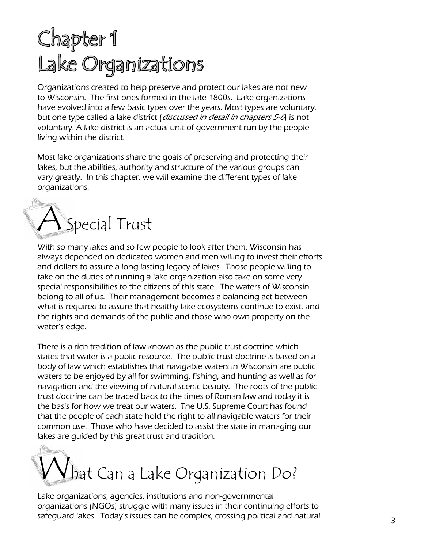# Chapter 1 Lake Organizations

Organizations created to help preserve and protect our lakes are not new to Wisconsin. The first ones formed in the late 1800s. Lake organizations have evolved into a few basic types over the years. Most types are voluntary, but one type called a lake district (*discussed in detail in chapters 5-6*) is not voluntary. A lake district is an actual unit of government run by the people living within the district.

Most lake organizations share the goals of preserving and protecting their lakes, but the abilities, authority and structure of the various groups can vary greatly. In this chapter, we will examine the different types of lake organizations.



With so many lakes and so few people to look after them, Wisconsin has always depended on dedicated women and men willing to invest their efforts and dollars to assure a long lasting legacy of lakes. Those people willing to take on the duties of running a lake organization also take on some very special responsibilities to the citizens of this state. The waters of Wisconsin belong to all of us. Their management becomes a balancing act between what is required to assure that healthy lake ecosystems continue to exist, and the rights and demands of the public and those who own property on the water's edge.

There is a rich tradition of law known as the public trust doctrine which states that water is a public resource. The public trust doctrine is based on a body of law which establishes that navigable waters in Wisconsin are public waters to be enjoyed by all for swimming, fishing, and hunting as well as for navigation and the viewing of natural scenic beauty. The roots of the public trust doctrine can be traced back to the times of Roman law and today it is the basis for how we treat our waters. The U.S. Supreme Court has found that the people of each state hold the right to all navigable waters for their common use. Those who have decided to assist the state in managing our lakes are guided by this great trust and tradition.



Lake organizations, agencies, institutions and non-governmental organizations (NGOs) struggle with many issues in their continuing efforts to safeguard lakes. Today's issues can be complex, crossing political and natural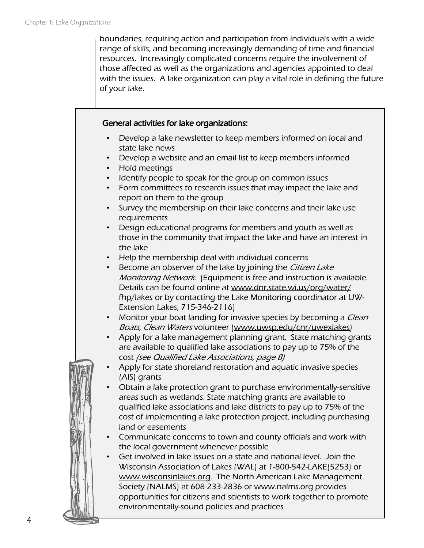boundaries, requiring action and participation from individuals with a wide range of skills, and becoming increasingly demanding of time and financial resources. Increasingly complicated concerns require the involvement of those affected as well as the organizations and agencies appointed to deal with the issues. A lake organization can play a vital role in defining the future of your lake.

#### General activities for lake organizations:

- Develop a lake newsletter to keep members informed on local and state lake news
- Develop a website and an email list to keep members informed
- Hold meetings
- Identify people to speak for the group on common issues
- Form committees to research issues that may impact the lake and report on them to the group
- Survey the membership on their lake concerns and their lake use requirements
- Design educational programs for members and youth as well as those in the community that impact the lake and have an interest in the lake
- Help the membership deal with individual concerns
- Become an observer of the lake by joining the Citizen Lake Monitoring Network. (Equipment is free and instruction is available. Details can be found online at [www.dnr.state.wi.us/org/water/](www.dnr.state.wi.us/org/water/fhp/lakes/selfhelp/) [fhp/lakes](www.dnr.state.wi.us/org/water/fhp/lakes/selfhelp/) or by contacting the Lake Monitoring coordinator at UW-Extension Lakes, 715-346-2116)
- Monitor your boat landing for invasive species by becoming a *Clean* Boats, Clean Waters volunteer (www.uwsp.edu/cnr/uwexlakes)
- Apply for a lake management planning grant. State matching grants are available to qualified lake associations to pay up to 75% of the cost (see Qualified Lake Associations, page 8)
- Apply for state shoreland restoration and aquatic invasive species (AIS) grants
- Obtain a lake protection grant to purchase environmentally-sensitive areas such as wetlands. State matching grants are available to qualified lake associations and lake districts to pay up to 75% of the cost of implementing a lake protection project, including purchasing land or easements
- Communicate concerns to town and county officials and work with the local government whenever possible
- Get involved in lake issues on a state and national level. Join the Wisconsin Association of Lakes (WAL) at 1-800-542-LAKE(5253) or [www.wisconsinlakes.org.](http://www.wisconsinlakes.org/) The North American Lake Management Society (NALMS) at 608-233-2836 or [www.nalms.org](http://www.nalms.org) provides opportunities for citizens and scientists to work together to promote environmentally-sound policies and practices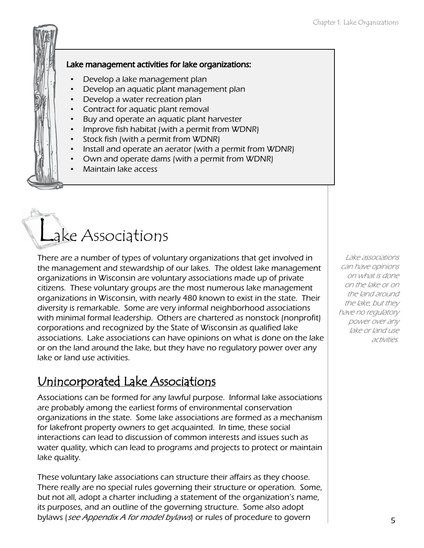#### Lake management activities for lake organizations:

- Develop a lake management plan
- Develop an aquatic plant management plan
- Develop a water recreation plan
- Contract for aquatic plant removal
- Buy and operate an aquatic plant harvester
- Improve fish habitat (with a permit from WDNR)
- Stock fish (with a permit from WDNR)
- Install and operate an aerator (with a permit from WDNR)
- Own and operate dams (with a permit from WDNR)
- Maintain lake access

# Lake Associations

There are a number of types of voluntary organizations that get involved in the management and stewardship of our lakes. The oldest lake management organizations in Wisconsin are voluntary associations made up of private citizens. These voluntary groups are the most numerous lake management organizations in Wisconsin, with nearly 480 known to exist in the state. Their diversity is remarkable. Some are very informal neighborhood associations with minimal formal leadership. Others are chartered as nonstock (nonprofit) corporations and recognized by the State of Wisconsin as qualified lake associations. Lake associations can have opinions on what is done on the lake or on the land around the lake, but they have no regulatory power over any lake or land use activities.

### Unincorporated Lake Associations

Associations can be formed for any lawful purpose. Informal lake associations are probably among the earliest forms of environmental conservation organizations in the state. Some lake associations are formed as a mechanism for lakefront property owners to get acquainted. In time, these social interactions can lead to discussion of common interests and issues such as water quality, which can lead to programs and projects to protect or maintain lake quality.

These voluntary lake associations can structure their affairs as they choose. There really are no special rules governing their structure or operation. Some, but not all, adopt a charter including a statement of the organization's name, its purposes, and an outline of the governing structure. Some also adopt bylaws (see Appendix A for model bylaws) or rules of procedure to govern

Lake associations can have opinions on what is done on the lake or on the land around the lake, but they have no regulatory power over any lake or land use activities.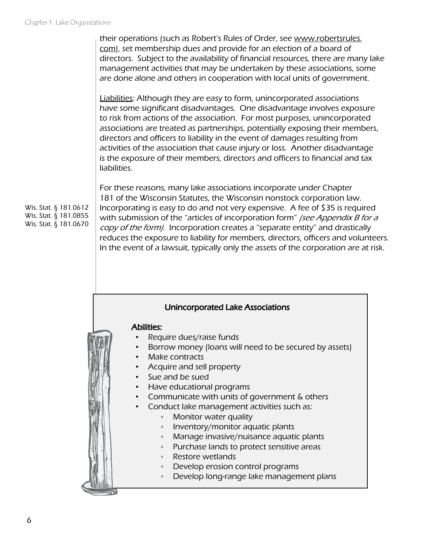their operations (such as Robert's Rules of Order, see [www.robertsrules.](http://www.robertsrules.com/) [com](http://www.robertsrules.com/)), set membership dues and provide for an election of a board of directors. Subject to the availability of financial resources, there are many lake management activities that may be undertaken by these associations, some are done alone and others in cooperation with local units of government.

Liabilities: Although they are easy to form, unincorporated associations have some significant disadvantages. One disadvantage involves exposure to risk from actions of the association. For most purposes, unincorporated associations are treated as partnerships, potentially exposing their members, directors and officers to liability in the event of damages resulting from activities of the association that cause injury or loss. Another disadvantage is the exposure of their members, directors and officers to financial and tax liabilities.

For these reasons, many lake associations incorporate under Chapter 181 of the Wisconsin Statutes, the Wisconsin nonstock corporation law. Incorporating is easy to do and not very expensive. A fee of \$35 is required with submission of the "articles of incorporation form" (see Appendix B for a copy of the form). Incorporation creates a "separate entity" and drastically reduces the exposure to liability for members, directors, officers and volunteers. In the event of a lawsuit, typically only the assets of the corporation are at risk.

#### Unincorporated Lake Associations

#### Abilities:

- Require dues/raise funds
- Borrow money (loans will need to be secured by assets)
- Make contracts
- Acquire and sell property
- Sue and be sued
- Have educational programs
- Communicate with units of government & others
- Conduct lake management activities such as:
	- Monitor water quality
	- $\blacksquare$  Inventory/monitor aquatic plants
	- Manage invasive/nuisance aquatic plants
	- Purchase lands to protect sensitive areas
	- Restore wetlands
	- Develop erosion control programs
	- Develop long-range lake management plans

Wis. Stat. § 181.0612 Wis. Stat. § 181.0855 Wis. Stat. § 181.0670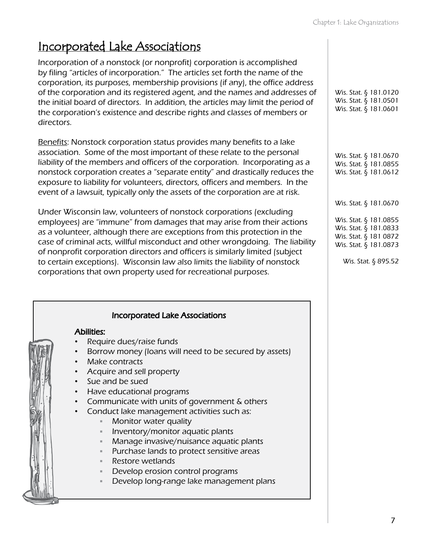## Incorporated Lake Associations

Incorporation of a nonstock (or nonprofit) corporation is accomplished by filing "articles of incorporation." The articles set forth the name of the corporation, its purposes, membership provisions (if any), the office address of the corporation and its registered agent, and the names and addresses of the initial board of directors. In addition, the articles may limit the period of the corporation's existence and describe rights and classes of members or directors.

Benefits: Nonstock corporation status provides many benefits to a lake association. Some of the most important of these relate to the personal liability of the members and officers of the corporation. Incorporating as a nonstock corporation creates a "separate entity" and drastically reduces the exposure to liability for volunteers, directors, officers and members. In the event of a lawsuit, typically only the assets of the corporation are at risk.

Under Wisconsin law, volunteers of nonstock corporations (excluding employees) are "immune" from damages that may arise from their actions as a volunteer, although there are exceptions from this protection in the case of criminal acts, willful misconduct and other wrongdoing. The liability of nonprofit corporation directors and officers is similarly limited (subject to certain exceptions). Wisconsin law also limits the liability of nonstock corporations that own property used for recreational purposes.

#### Incorporated Lake Associations

#### Abilities:

- Require dues/raise funds
- Borrow money (loans will need to be secured by assets)
- Make contracts
- Acquire and sell property
- Sue and be sued
- Have educational programs
- Communicate with units of government & others
- Conduct lake management activities such as:
	- **Monitor water quality**
	- Inventory/monitor aquatic plants
	- Manage invasive/nuisance aquatic plants
	- Purchase lands to protect sensitive areas
	- Restore wetlands
	- Develop erosion control programs
	- Develop long-range lake management plans

| Wis. Stat. § 181.0120 |  |
|-----------------------|--|
| Wis. Stat. § 181.0501 |  |
| Wis. Stat. § 181.0601 |  |

Wis. Stat. § 181.0670 Wis. Stat. § 181.0855 Wis. Stat. § 181.0612

Wis. Stat. § 181.0670

Wis. Stat. § 181.0855 Wis. Stat. § 181.0833 Wis. Stat. § 181 0872 Wis. Stat. § 181.0873

Wis. Stat. § 895.52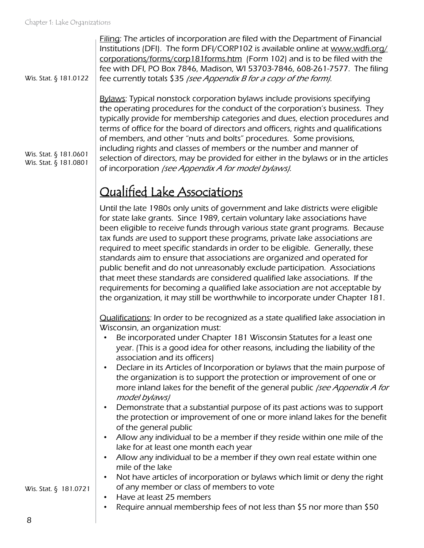| Wis. Stat. § 181.0122                          | Filing: The articles of incorporation are filed with the Department of Financial<br>Institutions (DFI). The form DFI/CORP102 is available online at www.wdfi.org/<br>corporations/forms/corp181forms.htm (Form 102) and is to be filed with the<br>fee with DFI, PO Box 7846, Madison, WI 53703-7846, 608-261-7577. The filing<br>fee currently totals \$35 (see Appendix B for a copy of the form).                                                                                                                                                                                                                                                                                                                                                                                                                                                                                                                                                                                                                   |
|------------------------------------------------|------------------------------------------------------------------------------------------------------------------------------------------------------------------------------------------------------------------------------------------------------------------------------------------------------------------------------------------------------------------------------------------------------------------------------------------------------------------------------------------------------------------------------------------------------------------------------------------------------------------------------------------------------------------------------------------------------------------------------------------------------------------------------------------------------------------------------------------------------------------------------------------------------------------------------------------------------------------------------------------------------------------------|
| Wis. Stat. § 181.0601<br>Wis. Stat. § 181.0801 | <b>Bylaws:</b> Typical nonstock corporation bylaws include provisions specifying<br>the operating procedures for the conduct of the corporation's business. They<br>typically provide for membership categories and dues, election procedures and<br>terms of office for the board of directors and officers, rights and qualifications<br>of members, and other "nuts and bolts" procedures. Some provisions,<br>including rights and classes of members or the number and manner of<br>selection of directors, may be provided for either in the bylaws or in the articles<br>of incorporation (see Appendix A for model bylaws).                                                                                                                                                                                                                                                                                                                                                                                    |
|                                                | <b>Qualified Lake Associations</b>                                                                                                                                                                                                                                                                                                                                                                                                                                                                                                                                                                                                                                                                                                                                                                                                                                                                                                                                                                                     |
|                                                | Until the late 1980s only units of government and lake districts were eligible<br>for state lake grants. Since 1989, certain voluntary lake associations have<br>been eligible to receive funds through various state grant programs. Because<br>tax funds are used to support these programs, private lake associations are<br>required to meet specific standards in order to be eligible. Generally, these<br>standards aim to ensure that associations are organized and operated for<br>public benefit and do not unreasonably exclude participation. Associations<br>that meet these standards are considered qualified lake associations. If the<br>requirements for becoming a qualified lake association are not acceptable by<br>the organization, it may still be worthwhile to incorporate under Chapter 181.                                                                                                                                                                                              |
|                                                | Qualifications: In order to be recognized as a state qualified lake association in<br>Wisconsin, an organization must:<br>Be incorporated under Chapter 181 Wisconsin Statutes for a least one<br>year. (This is a good idea for other reasons, including the liability of the<br>association and its officers)<br>Declare in its Articles of Incorporation or bylaws that the main purpose of<br>$\bullet$<br>the organization is to support the protection or improvement of one or<br>more inland lakes for the benefit of the general public <i>(see Appendix A for</i><br>model bylaws)<br>Demonstrate that a substantial purpose of its past actions was to support<br>$\bullet$<br>the protection or improvement of one or more inland lakes for the benefit<br>of the general public<br>Allow any individual to be a member if they reside within one mile of the<br>$\bullet$<br>lake for at least one month each year<br>Allow any individual to be a member if they own real estate within one<br>$\bullet$ |
| Wis. Stat. § 181.0721                          | mile of the lake<br>Not have articles of incorporation or bylaws which limit or deny the right<br>$\bullet$<br>of any member or class of members to vote                                                                                                                                                                                                                                                                                                                                                                                                                                                                                                                                                                                                                                                                                                                                                                                                                                                               |
|                                                | Have at least 25 members<br>$\bullet$<br>Require annual membership fees of not less than \$5 nor more than \$50<br>$\bullet$                                                                                                                                                                                                                                                                                                                                                                                                                                                                                                                                                                                                                                                                                                                                                                                                                                                                                           |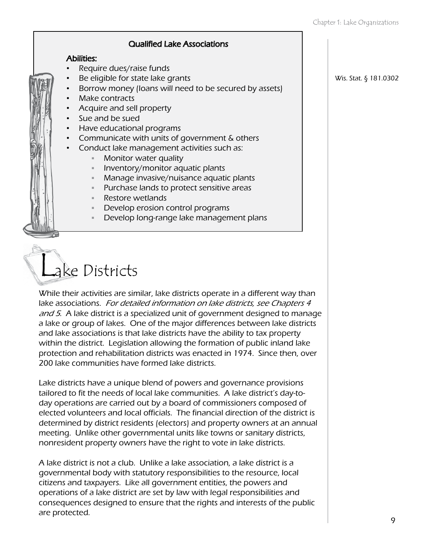#### Qualified Lake Associations

#### Abilities:

- Require dues/raise funds
- Be eligible for state lake grants
	- Borrow money (loans will need to be secured by assets)
- Make contracts
- Acquire and sell property
- Sue and be sued
- Have educational programs
- Communicate with units of government & others
- Conduct lake management activities such as:
	- Monitor water quality
	- Inventory/monitor aquatic plants
	- Manage invasive/nuisance aquatic plants
	- Purchase lands to protect sensitive areas
	- Restore wetlands
	- Develop erosion control programs
	- Develop long-range lake management plans



While their activities are similar, lake districts operate in a different way than lake associations. For detailed information on lake districts, see Chapters 4 and 5. A lake district is a specialized unit of government designed to manage a lake or group of lakes. One of the major differences between lake districts and lake associations is that lake districts have the ability to tax property within the district. Legislation allowing the formation of public inland lake protection and rehabilitation districts was enacted in 1974. Since then, over 200 lake communities have formed lake districts.

Lake districts have a unique blend of powers and governance provisions tailored to fit the needs of local lake communities. A lake district's day-today operations are carried out by a board of commissioners composed of elected volunteers and local officials. The financial direction of the district is determined by district residents (electors) and property owners at an annual meeting. Unlike other governmental units like towns or sanitary districts, nonresident property owners have the right to vote in lake districts.

A lake district is not a club. Unlike a lake association, a lake district is a governmental body with statutory responsibilities to the resource, local citizens and taxpayers. Like all government entities, the powers and operations of a lake district are set by law with legal responsibilities and consequences designed to ensure that the rights and interests of the public are protected.

Wis. Stat. § 181.0302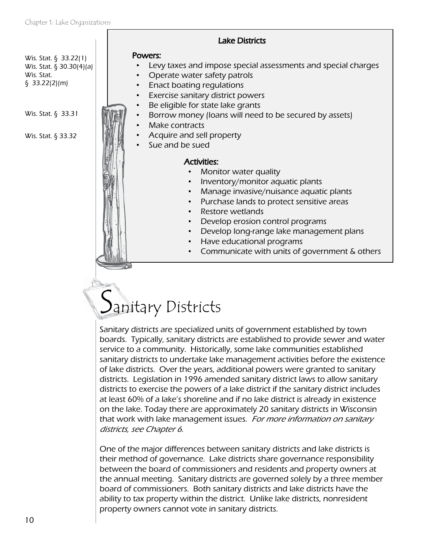Wis. Stat. § 33.22(1) Wis. Stat. § 30.30(4)(a) Wis. Stat. § 33.22(2)(m)

Wis. Stat. § 33.31

Wis. Stat. § 33.32

#### Powers:

- Levy taxes and impose special assessments and special charges
- Operate water safety patrols
- Enact boating regulations
- Exercise sanitary district powers
- Be eligible for state lake grants
- Borrow money (loans will need to be secured by assets)

Lake Districts

- Make contracts
- Acquire and sell property
- Sue and be sued

#### Activities:

- Monitor water quality
- Inventory/monitor aquatic plants
- Manage invasive/nuisance aquatic plants
- Purchase lands to protect sensitive areas
- Restore wetlands
- Develop erosion control programs
- Develop long-range lake management plans
- Have educational programs
- Communicate with units of government & others

# Sanitary Districts

Sanitary districts are specialized units of government established by town boards. Typically, sanitary districts are established to provide sewer and water service to a community. Historically, some lake communities established sanitary districts to undertake lake management activities before the existence of lake districts. Over the years, additional powers were granted to sanitary districts. Legislation in 1996 amended sanitary district laws to allow sanitary districts to exercise the powers of a lake district if the sanitary district includes at least 60% of a lake's shoreline and if no lake district is already in existence on the lake. Today there are approximately 20 sanitary districts in Wisconsin that work with lake management issues. For more information on sanitary districts, see Chapter 6.

One of the major differences between sanitary districts and lake districts is their method of governance. Lake districts share governance responsibility between the board of commissioners and residents and property owners at the annual meeting. Sanitary districts are governed solely by a three member board of commissioners. Both sanitary districts and lake districts have the ability to tax property within the district. Unlike lake districts, nonresident property owners cannot vote in sanitary districts.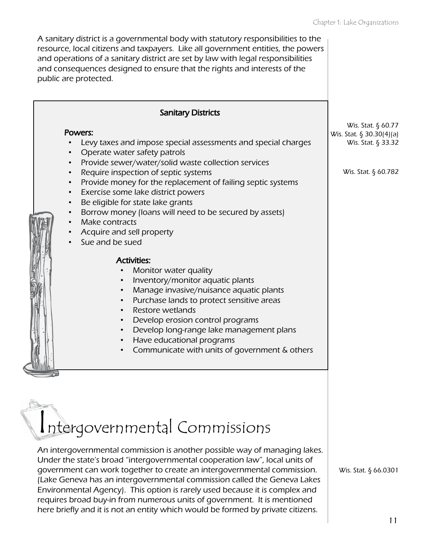| <b>Sanitary Districts</b>                                                                                                                                                                                                                                                                                                                                                                                                                                                                                                                                                                                                                                                                                                                                                                                                                                                                                                                          |                                                                                             |
|----------------------------------------------------------------------------------------------------------------------------------------------------------------------------------------------------------------------------------------------------------------------------------------------------------------------------------------------------------------------------------------------------------------------------------------------------------------------------------------------------------------------------------------------------------------------------------------------------------------------------------------------------------------------------------------------------------------------------------------------------------------------------------------------------------------------------------------------------------------------------------------------------------------------------------------------------|---------------------------------------------------------------------------------------------|
| Powers:<br>Levy taxes and impose special assessments and special charges<br>Operate water safety patrols<br>Provide sewer/water/solid waste collection services<br>$\bullet$<br>Require inspection of septic systems<br>$\bullet$<br>Provide money for the replacement of failing septic systems<br>$\bullet$<br>Exercise some lake district powers<br>$\bullet$<br>Be eligible for state lake grants<br>$\bullet$<br>Borrow money (loans will need to be secured by assets)<br>Make contracts<br>Acquire and sell property<br>Sue and be sued<br><b>Activities:</b><br>Monitor water quality<br>Inventory/monitor aquatic plants<br>Manage invasive/nuisance aquatic plants<br>$\bullet$<br>Purchase lands to protect sensitive areas<br>$\bullet$<br>Restore wetlands<br>Develop erosion control programs<br>$\bullet$<br>Develop long-range lake management plans<br>Have educational programs<br>Communicate with units of government & others | Wis. Stat. § 60.77<br>Wis. Stat. § 30.30(4)(a)<br>Wis. Stat. § 33.32<br>Wis. Stat. § 60.782 |
| Intergovernmental Commissions<br>An intergovernmental commission is another possible way of managing lakes.<br>Under the state's broad "intergovernmental cooperation law", local units of<br>government can work together to create an intergovernmental commission.<br>(Lake Geneva has an intergovernmental commission called the Geneva Lakes<br>Environmental Agency). This option is rarely used because it is complex and<br>requires broad buy-in from numerous units of government. It is mentioned                                                                                                                                                                                                                                                                                                                                                                                                                                       | Wis. Stat. § 66.0301                                                                        |

here briefly and it is not an entity which would be formed by private citizens.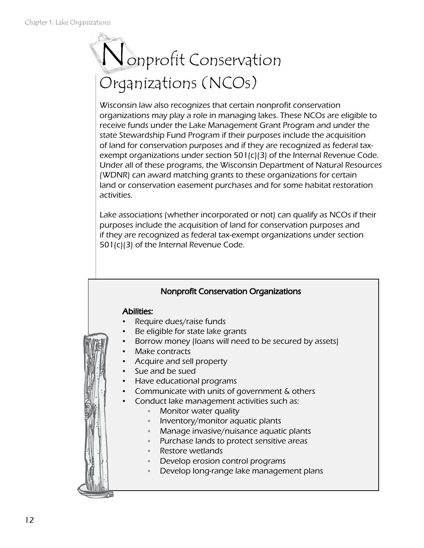# Nonprofit Conservation Organizations (NCOs)

Wisconsin law also recognizes that certain nonprofit conservation organizations may play a role in managing lakes. These NCOs are eligible to receive funds under the Lake Management Grant Program and under the state Stewardship Fund Program if their purposes include the acquisition of land for conservation purposes and if they are recognized as federal taxexempt organizations under section 501(c)(3) of the Internal Revenue Code. Under all of these programs, the Wisconsin Department of Natural Resources (WDNR) can award matching grants to these organizations for certain land or conservation easement purchases and for some habitat restoration activities.

Lake associations (whether incorporated or not) can qualify as NCOs if their purposes include the acquisition of land for conservation purposes and if they are recognized as federal tax-exempt organizations under section 501(c)(3) of the Internal Revenue Code.

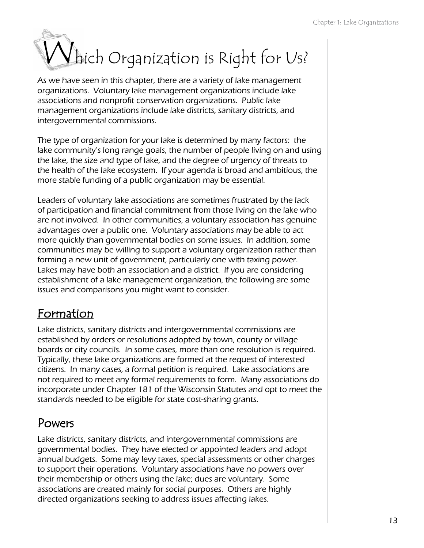# Which Organization is Right for Us?

As we have seen in this chapter, there are a variety of lake management organizations. Voluntary lake management organizations include lake associations and nonprofit conservation organizations. Public lake management organizations include lake districts, sanitary districts, and intergovernmental commissions.

The type of organization for your lake is determined by many factors: the lake community's long range goals, the number of people living on and using the lake, the size and type of lake, and the degree of urgency of threats to the health of the lake ecosystem. If your agenda is broad and ambitious, the more stable funding of a public organization may be essential.

Leaders of voluntary lake associations are sometimes frustrated by the lack of participation and financial commitment from those living on the lake who are not involved. In other communities, a voluntary association has genuine advantages over a public one. Voluntary associations may be able to act more quickly than governmental bodies on some issues. In addition, some communities may be willing to support a voluntary organization rather than forming a new unit of government, particularly one with taxing power. Lakes may have both an association and a district. If you are considering establishment of a lake management organization, the following are some issues and comparisons you might want to consider.

## Formation

Lake districts, sanitary districts and intergovernmental commissions are established by orders or resolutions adopted by town, county or village boards or city councils. In some cases, more than one resolution is required. Typically, these lake organizations are formed at the request of interested citizens. In many cases, a formal petition is required. Lake associations are not required to meet any formal requirements to form. Many associations do incorporate under Chapter 181 of the Wisconsin Statutes and opt to meet the standards needed to be eligible for state cost-sharing grants.

## Powers

Lake districts, sanitary districts, and intergovernmental commissions are governmental bodies. They have elected or appointed leaders and adopt annual budgets. Some may levy taxes, special assessments or other charges to support their operations. Voluntary associations have no powers over their membership or others using the lake; dues are voluntary. Some associations are created mainly for social purposes. Others are highly directed organizations seeking to address issues affecting lakes.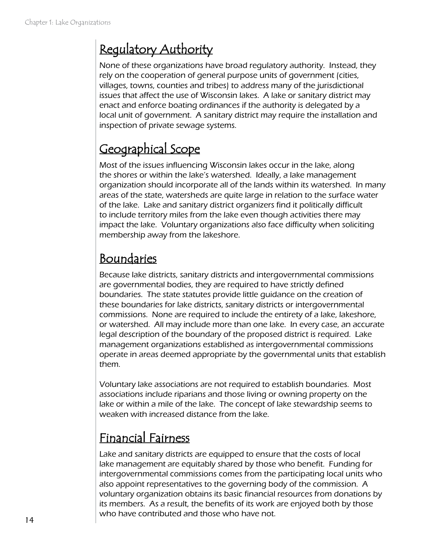# Regulatory Authority

None of these organizations have broad regulatory authority. Instead, they rely on the cooperation of general purpose units of government (cities, villages, towns, counties and tribes) to address many of the jurisdictional issues that affect the use of Wisconsin lakes. A lake or sanitary district may enact and enforce boating ordinances if the authority is delegated by a local unit of government. A sanitary district may require the installation and inspection of private sewage systems.

# Geographical Scope

Most of the issues influencing Wisconsin lakes occur in the lake, along the shores or within the lake's watershed. Ideally, a lake management organization should incorporate all of the lands within its watershed. In many areas of the state, watersheds are quite large in relation to the surface water of the lake. Lake and sanitary district organizers find it politically difficult to include territory miles from the lake even though activities there may impact the lake. Voluntary organizations also face difficulty when soliciting membership away from the lakeshore.

# Boundaries

Because lake districts, sanitary districts and intergovernmental commissions are governmental bodies, they are required to have strictly defined boundaries. The state statutes provide little guidance on the creation of these boundaries for lake districts, sanitary districts or intergovernmental commissions. None are required to include the entirety of a lake, lakeshore, or watershed. All may include more than one lake. In every case, an accurate legal description of the boundary of the proposed district is required. Lake management organizations established as intergovernmental commissions operate in areas deemed appropriate by the governmental units that establish them.

Voluntary lake associations are not required to establish boundaries. Most associations include riparians and those living or owning property on the lake or within a mile of the lake. The concept of lake stewardship seems to weaken with increased distance from the lake.

# Financial Fairness

Lake and sanitary districts are equipped to ensure that the costs of local lake management are equitably shared by those who benefit. Funding for intergovernmental commissions comes from the participating local units who also appoint representatives to the governing body of the commission. A voluntary organization obtains its basic financial resources from donations by its members. As a result, the benefits of its work are enjoyed both by those who have contributed and those who have not.